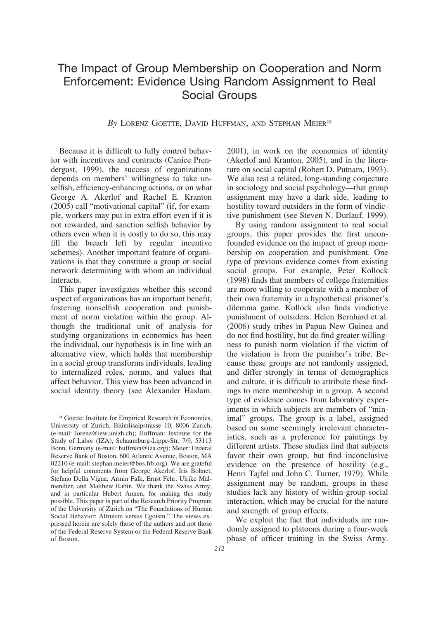# The Impact of Group Membership on Cooperation and Norm Enforcement: Evidence Using Random Assignment to Real **Social Groups**

By LORENZ GOETTE, DAVID HUFFMAN, AND STEPHAN MEIER\*

Because it is difficult to fully control behavior with incentives and contracts (Canice Prendergast, 1999), the success of organizations depends on members' willingness to take unselfish, efficiency-enhancing actions, or on what George A. Akerlof and Rachel E. Kranton (2005) call "motivational capital" (if, for example, workers may put in extra effort even if it is not rewarded, and sanction selfish behavior by others even when it is costly to do so, this may fill the breach left by regular incentive schemes). Another important feature of organizations is that they constitute a group or social network determining with whom an individual interacts.

This paper investigates whether this second aspect of organizations has an important benefit, fostering nonselfish cooperation and punishment of norm violation within the group. Although the traditional unit of analysis for studying organizations in economics has been the individual, our hypothesis is in line with an alternative view, which holds that membership in a social group transforms individuals, leading to internalized roles, norms, and values that affect behavior. This view has been advanced in social identity theory (see Alexander Haslam,

2001), in work on the economics of identity (Akerlof and Kranton, 2005), and in the literature on social capital (Robert D. Putnam, 1993). We also test a related, long-standing conjecture in sociology and social psychology—that group assignment may have a dark side, leading to hostility toward outsiders in the form of vindictive punishment (see Steven N. Durlauf, 1999).

By using random assignment to real social groups, this paper provides the first unconfounded evidence on the impact of group membership on cooperation and punishment. One type of previous evidence comes from existing social groups. For example, Peter Kollock (1998) finds that members of college fraternities are more willing to cooperate with a member of their own fraternity in a hypothetical prisoner's dilemma game. Kollock also finds vindictive punishment of outsiders. Helen Bernhard et al. (2006) study tribes in Papua New Guinea and do not find hostility, but do find greater willingness to punish norm violation if the victim of the violation is from the punisher's tribe. Because these groups are not randomly assigned, and differ strongly in terms of demographics and culture, it is difficult to attribute these findings to mere membership in a group. A second type of evidence comes from laboratory experiments in which subjects are members of "minimal" groups. The group is a label, assigned based on some seemingly irrelevant characteristics, such as a preference for paintings by different artists. These studies find that subjects favor their own group, but find inconclusive evidence on the presence of hostility (e.g., Henri Tajfel and John C. Turner, 1979). While assignment may be random, groups in these studies lack any history of within-group social interaction, which may be crucial for the nature and strength of group effects.

We exploit the fact that individuals are randomly assigned to platoons during a four-week phase of officer training in the Swiss Army.

<sup>\*</sup> Goette: Institute for Empirical Research in Economics, University of Zurich, Blümlisalpstrasse 10, 8006 Zurich, (e-mail: lorenz@iew.unizh.ch); Huffman: Institute for the Study of Labor (IZA), Schaumburg-Lippe-Str. 7/9, 53113 Bonn, Germany (e-mail: huffman@iza.org); Meier: Federal Reserve Bank of Boston, 600 Atlantic Avenue, Boston, MA 02210 (e-mail: stephan.meier@bos.frb.org). We are grateful for helpful comments from George Akerlof, Iris Bohnet, Stefano Della Vigna, Armin Falk, Ernst Fehr, Ulrike Malmendier, and Matthew Rabin. We thank the Swiss Army, and in particular Hubert Annen, for making this study possible. This paper is part of the Research Priority Program of the University of Zurich on "The Foundations of Human Social Behavior: Altruism versus Egoism." The views expressed herein are solely those of the authors and not those of the Federal Reserve System or the Federal Reserve Bank of Boston.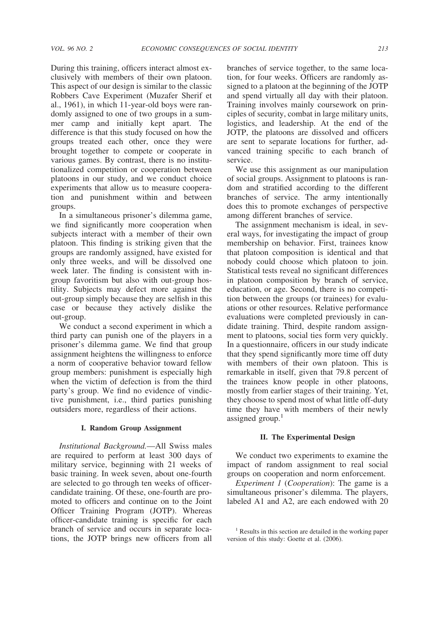During this training, officers interact almost exclusively with members of their own platoon. This aspect of our design is similar to the classic Robbers Cave Experiment (Muzafer Sherif et al., 1961), in which 11-year-old boys were randomly assigned to one of two groups in a summer camp and initially kept apart. The difference is that this study focused on how the groups treated each other, once they were brought together to compete or cooperate in various games. By contrast, there is no institutionalized competition or cooperation between platoons in our study, and we conduct choice experiments that allow us to measure cooperation and punishment within and between groups.

In a simultaneous prisoner's dilemma game, we find significantly more cooperation when subjects interact with a member of their own platoon. This finding is striking given that the groups are randomly assigned, have existed for only three weeks, and will be dissolved one week later. The finding is consistent with ingroup favoritism but also with out-group hostility. Subjects may defect more against the out-group simply because they are selfish in this case or because they actively dislike the out-group.

We conduct a second experiment in which a third party can punish one of the players in a prisoner's dilemma game. We find that group assignment heightens the willingness to enforce a norm of cooperative behavior toward fellow group members: punishment is especially high when the victim of defection is from the third party's group. We find no evidence of vindictive punishment, i.e., third parties punishing outsiders more, regardless of their actions.

#### **I. Random Group Assignment**

Institutional Background.—All Swiss males are required to perform at least 300 days of military service, beginning with 21 weeks of basic training. In week seven, about one-fourth are selected to go through ten weeks of officercandidate training. Of these, one-fourth are promoted to officers and continue on to the Joint Officer Training Program (JOTP). Whereas officer-candidate training is specific for each branch of service and occurs in separate locations, the JOTP brings new officers from all

branches of service together, to the same location, for four weeks. Officers are randomly assigned to a platoon at the beginning of the JOTP and spend virtually all day with their platoon. Training involves mainly coursework on principles of security, combat in large military units, logistics, and leadership. At the end of the JOTP, the platoons are dissolved and officers are sent to separate locations for further, advanced training specific to each branch of service.

We use this assignment as our manipulation of social groups. Assignment to platoons is random and stratified according to the different branches of service. The army intentionally does this to promote exchanges of perspective among different branches of service.

The assignment mechanism is ideal, in several ways, for investigating the impact of group membership on behavior. First, trainees know that platoon composition is identical and that nobody could choose which platoon to join. Statistical tests reveal no significant differences in platoon composition by branch of service, education, or age. Second, there is no competition between the groups (or trainees) for evaluations or other resources. Relative performance evaluations were completed previously in candidate training. Third, despite random assignment to platoons, social ties form very quickly. In a questionnaire, officers in our study indicate that they spend significantly more time off duty with members of their own platoon. This is remarkable in itself, given that 79.8 percent of the trainees know people in other platoons, mostly from earlier stages of their training. Yet, they choose to spend most of what little off-duty time they have with members of their newly assigned group. $<sup>1</sup>$ </sup>

### **II.** The Experimental Design

We conduct two experiments to examine the impact of random assignment to real social groups on cooperation and norm enforcement.

*Experiment 1 (Cooperation)*: The game is a simultaneous prisoner's dilemma. The players, labeled A1 and A2, are each endowed with 20

<sup>&</sup>lt;sup>1</sup> Results in this section are detailed in the working paper version of this study: Goette et al. (2006).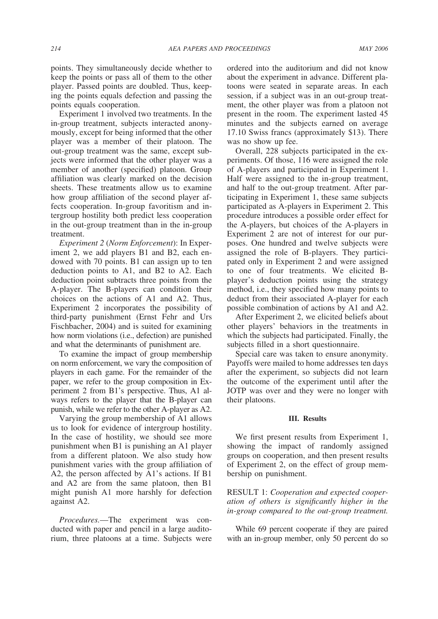**MAY 2006** 

points. They simultaneously decide whether to keep the points or pass all of them to the other player. Passed points are doubled. Thus, keeping the points equals defection and passing the points equals cooperation.

Experiment 1 involved two treatments. In the in-group treatment, subjects interacted anonymously, except for being informed that the other player was a member of their platoon. The out-group treatment was the same, except subjects were informed that the other player was a member of another (specified) platoon. Group affiliation was clearly marked on the decision sheets. These treatments allow us to examine how group affiliation of the second player affects cooperation. In-group favoritism and intergroup hostility both predict less cooperation in the out-group treatment than in the in-group treatment.

Experiment 2 (Norm Enforcement): In Experiment 2, we add players B1 and B2, each endowed with 70 points. B1 can assign up to ten deduction points to A1, and B2 to A2. Each deduction point subtracts three points from the A-player. The B-players can condition their choices on the actions of A1 and A2. Thus, Experiment 2 incorporates the possibility of third-party punishment (Ernst Fehr and Urs Fischbacher, 2004) and is suited for examining how norm violations (i.e., defection) are punished and what the determinants of punishment are.

To examine the impact of group membership on norm enforcement, we vary the composition of players in each game. For the remainder of the paper, we refer to the group composition in Experiment 2 from B1's perspective. Thus, A1 always refers to the player that the B-player can punish, while we refer to the other A-player as A2.

Varying the group membership of A1 allows us to look for evidence of intergroup hostility. In the case of hostility, we should see more punishment when B1 is punishing an A1 player from a different platoon. We also study how punishment varies with the group affiliation of A2, the person affected by A1's actions. If B1 and A2 are from the same platoon, then B1 might punish A1 more harshly for defection against A2.

Procedures.—The experiment was conducted with paper and pencil in a large auditorium, three platoons at a time. Subjects were ordered into the auditorium and did not know about the experiment in advance. Different platoons were seated in separate areas. In each session, if a subject was in an out-group treatment, the other player was from a platoon not present in the room. The experiment lasted 45 minutes and the subjects earned on average 17.10 Swiss francs (approximately \$13). There was no show up fee.

Overall, 228 subjects participated in the experiments. Of those, 116 were assigned the role of A-players and participated in Experiment 1. Half were assigned to the in-group treatment, and half to the out-group treatment. After participating in Experiment 1, these same subjects participated as A-players in Experiment 2. This procedure introduces a possible order effect for the A-players, but choices of the A-players in Experiment 2 are not of interest for our purposes. One hundred and twelve subjects were assigned the role of B-players. They participated only in Experiment 2 and were assigned to one of four treatments. We elicited Bplayer's deduction points using the strategy method, i.e., they specified how many points to deduct from their associated A-player for each possible combination of actions by A1 and A2.

After Experiment 2, we elicited beliefs about other players' behaviors in the treatments in which the subjects had participated. Finally, the subjects filled in a short questionnaire.

Special care was taken to ensure anonymity. Payoffs were mailed to home addresses ten days after the experiment, so subjects did not learn the outcome of the experiment until after the JOTP was over and they were no longer with their platoons.

#### **III.** Results

We first present results from Experiment 1, showing the impact of randomly assigned groups on cooperation, and then present results of Experiment 2, on the effect of group membership on punishment.

RESULT 1: Cooperation and expected cooperation of others is significantly higher in the in-group compared to the out-group treatment.

While 69 percent cooperate if they are paired with an in-group member, only 50 percent do so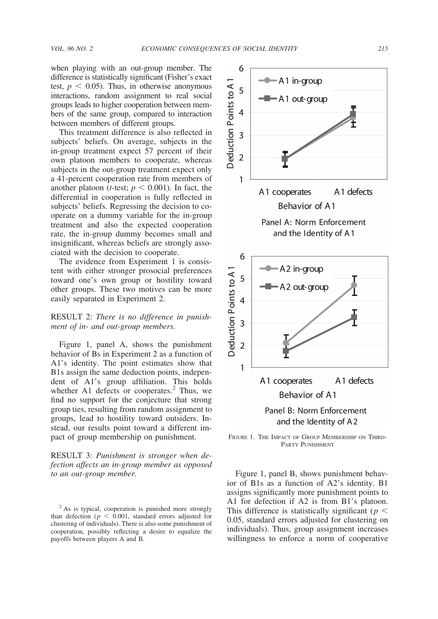when playing with an out-group member. The difference is statistically significant (Fisher's exact test,  $p < 0.05$ ). Thus, in otherwise anonymous interactions, random assignment to real social groups leads to higher cooperation between members of the same group, compared to interaction between members of different groups.

This treatment difference is also reflected in subjects' beliefs. On average, subjects in the in-group treatment expect 57 percent of their own platoon members to cooperate, whereas subjects in the out-group treatment expect only a 41-percent cooperation rate from members of another platoon (*t*-test;  $p < 0.001$ ). In fact, the differential in cooperation is fully reflected in subjects' beliefs. Regressing the decision to cooperate on a dummy variable for the in-group treatment and also the expected cooperation rate, the in-group dummy becomes small and insignificant, whereas beliefs are strongly associated with the decision to cooperate.

The evidence from Experiment 1 is consistent with either stronger prosocial preferences toward one's own group or hostility toward other groups. These two motives can be more easily separated in Experiment 2.

## RESULT 2: There is no difference in punishment of in- and out-group members.

Figure 1, panel A, shows the punishment behavior of Bs in Experiment 2 as a function of A1's identity. The point estimates show that B1s assign the same deduction points, independent of A1's group affiliation. This holds whether A1 defects or cooperates.<sup>2</sup> Thus, we find no support for the conjecture that strong group ties, resulting from random assignment to groups, lead to hostility toward outsiders. Instead, our results point toward a different impact of group membership on punishment.

## RESULT 3: Punishment is stronger when defection affects an in-group member as opposed to an out-group member.



FIGURE 1. THE IMPACT OF GROUP MEMBERSHIP ON THIRD-**PARTY PUNISHMENT** 

Figure 1, panel B, shows punishment behavior of B1s as a function of A2's identity. B1 assigns significantly more punishment points to A1 for defection if A2 is from B1's platoon. This difference is statistically significant ( $p <$ 0.05, standard errors adjusted for clustering on individuals). Thus, group assignment increases willingness to enforce a norm of cooperative

<sup>&</sup>lt;sup>2</sup> As is typical, cooperation is punished more strongly than defection ( $p < 0.001$ , standard errors adjusted for clustering of individuals). There is also some punishment of cooperation, possibly reflecting a desire to equalize the payoffs between players A and B.